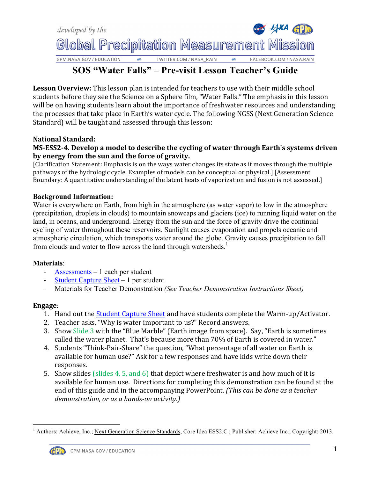

# **SOS "Water Falls" – Pre-visit Lesson Teacher's Guide**

**Lesson Overview:** This lesson plan is intended for teachers to use with their middle school students before they see the Science on a Sphere film, "Water Falls." The emphasis in this lesson will be on having students learn about the importance of freshwater resources and understanding the processes that take place in Earth's water cycle. The following NGSS (Next Generation Science Standard) will be taught and assessed through this lesson:

## **National Standard:**

## **MS-ESS2-4.** Develop a model to describe the cycling of water through Earth's systems driven by energy from the sun and the force of gravity.

[Clarification Statement: Emphasis is on the ways water changes its state as it moves through the multiple pathways of the hydrologic cycle. Examples of models can be conceptual or physical.] [Assessment] Boundary: A quantitative understanding of the latent heats of vaporization and fusion is not assessed.]

### **Background Information:**

Water is everywhere on Earth, from high in the atmosphere (as water vapor) to low in the atmosphere (precipitation, droplets in clouds) to mountain snowcaps and glaciers (ice) to running liquid water on the land, in oceans, and underground. Energy from the sun and the force of gravity drive the continual cycling of water throughout these reservoirs. Sunlight causes evaporation and propels oceanic and atmospheric circulation, which transports water around the globe. Gravity causes precipitation to fall from clouds and water to flow across the land through watersheds.<sup>1</sup>

#### **Materials**:

- [Assessments](http://pmm.nasa.gov/education/sites/default/files/lesson_plan_files/water falls/Water Falls Pre-Visit Pre-Assessment.pdf) 1 each per student
- [Student Capture Sheet](http://pmm.nasa.gov/education/sites/default/files/lesson_plan_files/water falls/Water Falls Pre-Visit SCS.pdf) 1 per student
- Materials for Teacher Demonstration *(See Teacher Demonstration Instructions Sheet)*

### **Engage**:

- 1. Hand out the Student Capture Sheet and have students complete the Warm-up/Activator.
- 2. Teacher asks, "Why is water important to us?" Record answers.
- 3. Show Slide 3 with the "Blue Marble" (Earth image from space). Say, "Earth is sometimes called the water planet. That's because more than 70% of Earth is covered in water."
- 4. Students "Think-Pair-Share" the question, "What percentage of all water on Earth is available for human use?" Ask for a few responses and have kids write down their responses.
- 5. Show slides (slides 4, 5, and 6) that depict where freshwater is and how much of it is available for human use. Directions for completing this demonstration can be found at the end of this guide and in the accompanying PowerPoint. *(This can be done as a teacher* demonstration, or as a hands-on activity.)

 <sup>1</sup> Authors: Achieve, Inc.; Next Generation Science Standards, Core Idea ESS2.C ; Publisher: Achieve Inc.; Copyright: 2013.

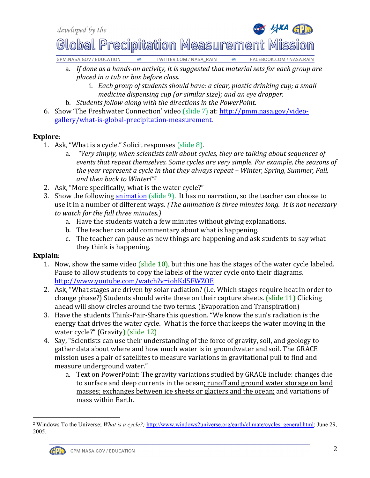



Global Precipitation Measurement Mission

GPM.NASA.GOV / EDUCATION  $\bullet$ TWITTER.COM / NASA\_RAIN è FACEBOOK.COM / NASA.RAIN

- a. If done as a hands-on activity, it is suggested that material sets for each group are *placed in a tub or box before class.* 
	- i. *Each group of students should have: a clear, plastic drinking cup; a small medicine dispensing cup (or similar size); and an eye dropper.*
- b. *Students follow along with the directions in the PowerPoint.*
- 6. Show 'The Freshwater Connection' video (slide 7) at: http://pmm.nasa.gov/video[gallery/what-is-global-precipitation-measurement.](http://pmm.nasa.gov/education/videos/gpm-freshwater-connection)

# **Explore**:

- 1. Ask, "What is a cycle." Solicit responses (slide  $8$ ).
	- a. *"Very simply, when scientists talk about cycles, they are talking about sequences of events that repeat themselves. Some cycles are very simple. For example, the seasons of the* year represent a cycle in that they always repeat – Winter, Spring, Summer, Fall, *and then back to Winter!"2*
- 2. Ask, "More specifically, what is the water cycle?"
- 3. Show the following animation (slide  $9$ ). It has no narration, so the teacher can choose to use it in a number of different ways. *(The animation is three minutes long. It is not necessary to* watch for the full three minutes.)
	- a. Have the students watch a few minutes without giving explanations.
	- b. The teacher can add commentary about what is happening.
	- c. The teacher can pause as new things are happening and ask students to say what they think is happening.

# **Explain**:

- 1. Now, show the same video (slide 10), but this one has the stages of the water cycle labeled. Pause to allow students to copy the labels of the water cycle onto their diagrams. <http://www.youtube.com/watch?v=iohKd5FWZOE>
- 2. Ask, "What stages are driven by solar radiation? (i.e. Which stages require heat in order to change phase?) Students should write these on their capture sheets.  $\left(\frac{\text{slide}}{11}\right)$  Clicking ahead will show circles around the two terms. (Evaporation and Transpiration)
- 3. Have the students Think-Pair-Share this question. "We know the sun's radiation is the energy that drives the water cycle. What is the force that keeps the water moving in the water cycle?"  $(Gravity)$   $(s)$ lide  $12)$
- 4. Say, "Scientists can use their understanding of the force of gravity, soil, and geology to gather data about where and how much water is in groundwater and soil. The GRACE mission uses a pair of satellites to measure variations in gravitational pull to find and measure underground water."
	- a. Text on PowerPoint: The gravity variations studied by GRACE include: changes due to surface and deep currents in the ocean; runoff and ground water storage on land masses; exchanges between ice sheets or glaciers and the ocean; and variations of mass within Earth.

 <sup>2</sup> Windows To the Universe; *What is a cycle?;* [http://www.windows2universe.org/earth/climate/cycles\\_general.html;](http://www.windows2universe.org/earth/climate/cycles_general.html) June 29, 2005.

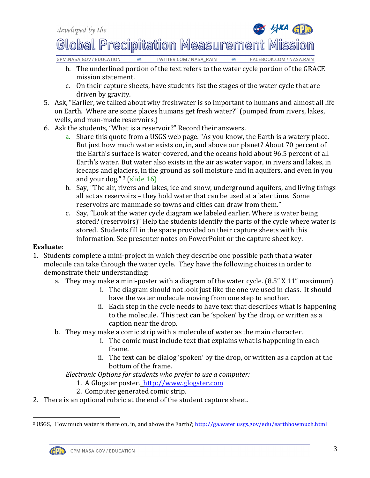

GPM.NASA.GOV / EDUCATION TWITTER.COM / NASA\_RAIN  $\bullet$ FACEBOOK.COM / NASA.RAIN

- b. The underlined portion of the text refers to the water cycle portion of the GRACE mission statement.
- c. On their capture sheets, have students list the stages of the water cycle that are driven by gravity.
- 5. Ask, "Earlier, we talked about why freshwater is so important to humans and almost all life on Earth. Where are some places humans get fresh water?" (pumped from rivers, lakes, wells, and man-made reservoirs.)
- 6. Ask the students, "What is a reservoir?" Record their answers.
	- a. Share this quote from a USGS web page. "As you know, the Earth is a watery place. But just how much water exists on, in, and above our planet? About 70 percent of the Earth's surface is water-covered, and the oceans hold about 96.5 percent of all Earth's water. But water also exists in the air as water vapor, in rivers and lakes, in icecaps and glaciers, in the ground as soil moisture and in aquifers, and even in you and your dog."  $3$  (slide 16)
	- b. Say, "The air, rivers and lakes, ice and snow, underground aquifers, and living things all act as reservoirs - they hold water that can be used at a later time. Some reservoirs are manmade so towns and cities can draw from them."
	- c. Say, "Look at the water cycle diagram we labeled earlier. Where is water being stored? (reservoirs)" Help the students identify the parts of the cycle where water is stored. Students fill in the space provided on their capture sheets with this information. See presenter notes on PowerPoint or the capture sheet key.

# **Evaluate**:

- 1. Students complete a mini-project in which they describe one possible path that a water molecule can take through the water cycle. They have the following choices in order to demonstrate their understanding:
	- a. They may make a mini-poster with a diagram of the water cycle.  $(8.5" X 11"$  maximum)
		- i. The diagram should not look just like the one we used in class. It should have the water molecule moving from one step to another.
		- ii. Each step in the cycle needs to have text that describes what is happening to the molecule. This text can be 'spoken' by the drop, or written as a caption near the drop.
	- b. They may make a comic strip with a molecule of water as the main character.
		- i. The comic must include text that explains what is happening in each frame.
		- ii. The text can be dialog 'spoken' by the drop, or written as a caption at the bottom of the frame.

*Electronic Options for students who prefer to use a computer:* 

- 1. A Glogster poster. http://www.glogster.com
- 2. Computer generated comic strip.
- 2. There is an optional rubric at the end of the student capture sheet.

<sup>&</sup>lt;sup>3</sup> USGS, How much water is there on, in, and above the Earth?; http://ga.water.usgs.gov/edu/earthhowmuch.html